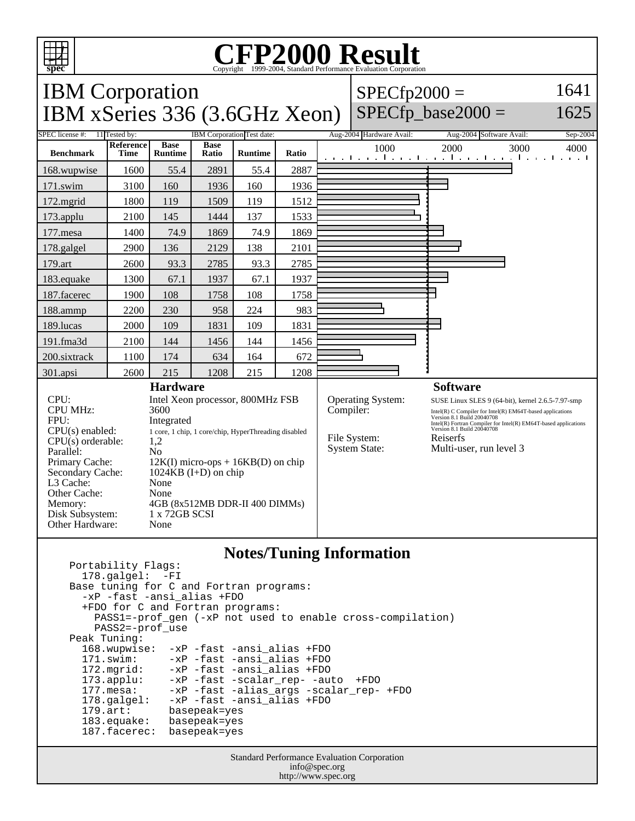

Other Hardware: None

Portability Flags:

## **CFP2000 Result** Copyright 1999-2004, Standard Performance Evaluation Corporation

### IBM Corporation IBM xSeries 336 (3.6GHz Xeon)  $SPECfp2000 =$  $SPECfp\_base2000 =$

## 1641 1625

#### SPEC license #: 11 Tested by: IBM Corporation Test date: Aug-2004 Hardware Avail: Aug-2004 Software Avail: Sep-2004 **Benchmark Reference Time Base Runtime Base Runtime Ratio** 1000 2000 3000 4000 168.wupwise 1600 55.4 2891 55.4 2887 171.swim | 3100 | 160 | 1936 | 160 | 1936 172.mgrid | 1800 | 119 | 1509 | 119 | 1512 173.applu | 2100 | 145 | 1444 | 137 | 1533 177.mesa | 1400 | 74.9 | 1869 | 74.9 | 1869 178.galgel | 2900 | 136 | 2129 | 138 | 2101 179.art 2600 93.3 2785 93.3 2785 183.equake 1300 67.1 1937 67.1 1937 187.facerec | 1900 | 108 | 1758 | 108 | 1758 188.ammp | 2200 | 230 | 958 | 224 | 983 189.lucas | 2000 | 109 | 1831 | 109 | 1831 191.fma3d | 2100 | 144 | 1456 | 144 | 1456 200.sixtrack 1100 174 634 164 672 301.apsi 2600 215 1208 215 1208 **Hardware** CPU: Intel Xeon processor, 800MHz FSB CPU MHz: 3600 FPU: Integrated  $CPU(s)$  enabled:  $1$  core, 1 chip, 1 core/chip, HyperThreading disabled  $CPU(s)$  orderable:  $1.2$  $CPU(s)$  orderable: Parallel: No Primary Cache:  $12K(I)$  micro-ops + 16KB(D) on chip Secondary Cache: 1024KB (I+D) on chip L3 Cache: None Other Cache: None Memory: 4GB (8x512MB DDR-II 400 DIMMs) Disk Subsystem: 1 x 72GB SCSI **Software** Operating System: SUSE Linux SLES 9 (64-bit), kernel 2.6.5-7.97-smp Compiler: Intel(R) C Compiler for Intel(R) EM64T-based applications Version 8.1 Build 20040708 Intel(R) Fortran Compiler for Intel(R) EM64T-based applications Version 8.1 Build 20040708 File System: Reiserfs System State: Multi-user, run level 3

**Notes/Tuning Information**

```
 178.galgel: -FI
 Base tuning for C and Fortran programs:
   -xP -fast -ansi_alias +FDO
   +FDO for C and Fortran programs:
     PASS1=-prof_gen (-xP not used to enable cross-compilation)
     PASS2=-prof_use
Peak Tuning:<br>168.wupwise:
                  -xP -fast -ansi_alias +FDO
   171.swim: -xP -fast -ansi_alias +FDO
   172.mgrid: -xP -fast -ansi_alias +FDO
   173.applu: -xP -fast -scalar_rep- -auto +FDO
  177.mesa: -xP -fast -alias_args -scalar_rep- +FDO<br>178.galgel: -xP -fast -ansi alias +FDO
  178.galgel: -xP -fast -ansi_alias +FDO<br>179.art: basepeak=yes
                  basepeak=yes
   183.equake: basepeak=yes
   187.facerec: basepeak=yes
```
Standard Performance Evaluation Corporation info@spec.org http://www.spec.org